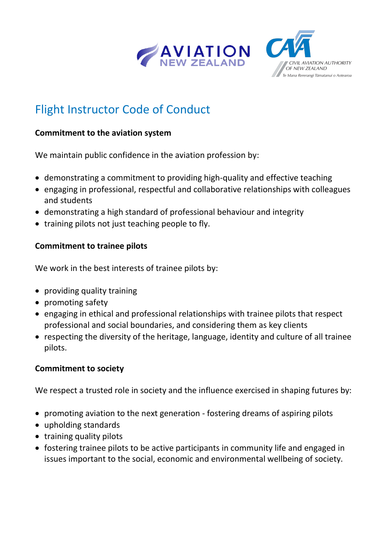

## **CIVIL AVIATION AUTHORITY** OF NEW ZEALAND Te Mana Rererangi Tumatanui o Aotearoa

# Flight Instructor Code of Conduct

#### **Commitment to the aviation system**

We maintain public confidence in the aviation profession by:

- demonstrating a commitment to providing high-quality and effective teaching
- engaging in professional, respectful and collaborative relationships with colleagues and students
- demonstrating a high standard of professional behaviour and integrity
- training pilots not just teaching people to fly.

#### **Commitment to trainee pilots**

We work in the best interests of trainee pilots by:

- providing quality training
- promoting safety
- engaging in ethical and professional relationships with trainee pilots that respect professional and social boundaries, and considering them as key clients
- respecting the diversity of the heritage, language, identity and culture of all trainee pilots.

#### **Commitment to society**

We respect a trusted role in society and the influence exercised in shaping futures by:

- promoting aviation to the next generation fostering dreams of aspiring pilots
- upholding standards
- training quality pilots
- fostering trainee pilots to be active participants in community life and engaged in issues important to the social, economic and environmental wellbeing of society.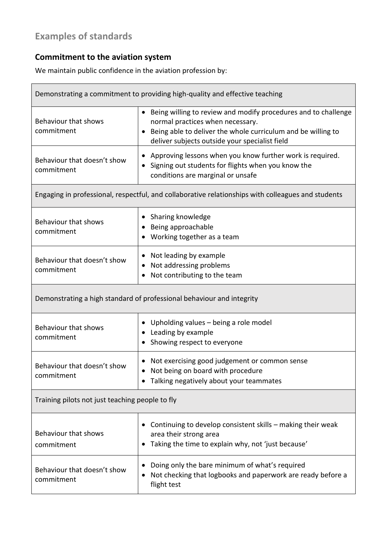## **Examples of standards**

### **Commitment to the aviation system**

We maintain public confidence in the aviation profession by:

| Demonstrating a commitment to providing high-quality and effective teaching                        |                                                                                                                                                                                                                      |  |
|----------------------------------------------------------------------------------------------------|----------------------------------------------------------------------------------------------------------------------------------------------------------------------------------------------------------------------|--|
| Behaviour that shows<br>commitment                                                                 | Being willing to review and modify procedures and to challenge<br>normal practices when necessary.<br>Being able to deliver the whole curriculum and be willing to<br>deliver subjects outside your specialist field |  |
| Behaviour that doesn't show<br>commitment                                                          | Approving lessons when you know further work is required.<br>Signing out students for flights when you know the<br>conditions are marginal or unsafe                                                                 |  |
| Engaging in professional, respectful, and collaborative relationships with colleagues and students |                                                                                                                                                                                                                      |  |
| Behaviour that shows<br>commitment                                                                 | • Sharing knowledge<br>Being approachable<br>Working together as a team                                                                                                                                              |  |
| Behaviour that doesn't show<br>commitment                                                          | Not leading by example<br>Not addressing problems<br>Not contributing to the team                                                                                                                                    |  |
| Demonstrating a high standard of professional behaviour and integrity                              |                                                                                                                                                                                                                      |  |
| Behaviour that shows<br>commitment                                                                 | Upholding values - being a role model<br>Leading by example<br>Showing respect to everyone                                                                                                                           |  |
| Behaviour that doesn't show<br>commitment                                                          | Not exercising good judgement or common sense<br>Not being on board with procedure<br>Talking negatively about your teammates                                                                                        |  |
| Training pilots not just teaching people to fly                                                    |                                                                                                                                                                                                                      |  |
| Behaviour that shows<br>commitment                                                                 | Continuing to develop consistent skills - making their weak<br>area their strong area<br>Taking the time to explain why, not 'just because'                                                                          |  |
| Behaviour that doesn't show<br>commitment                                                          | Doing only the bare minimum of what's required<br>Not checking that logbooks and paperwork are ready before a<br>flight test                                                                                         |  |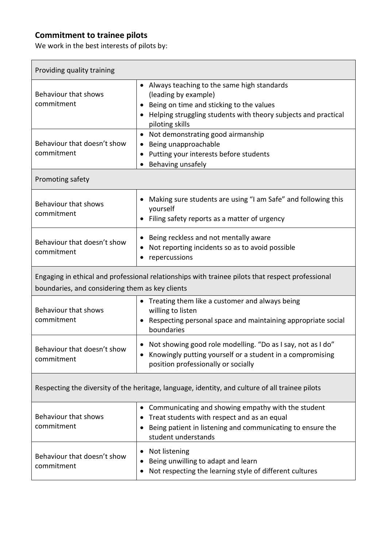#### **Commitment to trainee pilots**

 $\overline{1}$ 

We work in the best interests of pilots by:

| Providing quality training                                                                                                                          |                                                                                                                                                                                                                  |  |
|-----------------------------------------------------------------------------------------------------------------------------------------------------|------------------------------------------------------------------------------------------------------------------------------------------------------------------------------------------------------------------|--|
| Behaviour that shows<br>commitment                                                                                                                  | Always teaching to the same high standards<br>$\bullet$<br>(leading by example)<br>Being on time and sticking to the values<br>Helping struggling students with theory subjects and practical<br>piloting skills |  |
| Behaviour that doesn't show<br>commitment                                                                                                           | Not demonstrating good airmanship<br>$\bullet$<br>Being unapproachable<br>Putting your interests before students<br>Behaving unsafely                                                                            |  |
| Promoting safety                                                                                                                                    |                                                                                                                                                                                                                  |  |
| Behaviour that shows<br>commitment                                                                                                                  | Making sure students are using "I am Safe" and following this<br>yourself<br>Filing safety reports as a matter of urgency                                                                                        |  |
| Behaviour that doesn't show<br>commitment                                                                                                           | Being reckless and not mentally aware<br>Not reporting incidents so as to avoid possible<br>٠<br>repercussions                                                                                                   |  |
| Engaging in ethical and professional relationships with trainee pilots that respect professional<br>boundaries, and considering them as key clients |                                                                                                                                                                                                                  |  |
| Behaviour that shows<br>commitment                                                                                                                  | Treating them like a customer and always being<br>$\bullet$<br>willing to listen<br>Respecting personal space and maintaining appropriate social<br>٠<br>boundaries                                              |  |
| Behaviour that doesn't show<br>commitment                                                                                                           | Not showing good role modelling. "Do as I say, not as I do"<br>Knowingly putting yourself or a student in a compromising<br>position professionally or socially                                                  |  |
| Respecting the diversity of the heritage, language, identity, and culture of all trainee pilots                                                     |                                                                                                                                                                                                                  |  |
| Behaviour that shows<br>commitment                                                                                                                  | Communicating and showing empathy with the student<br>Treat students with respect and as an equal<br>Being patient in listening and communicating to ensure the<br>student understands                           |  |
| Behaviour that doesn't show<br>commitment                                                                                                           | Not listening<br>٠<br>Being unwilling to adapt and learn<br>Not respecting the learning style of different cultures                                                                                              |  |

٦